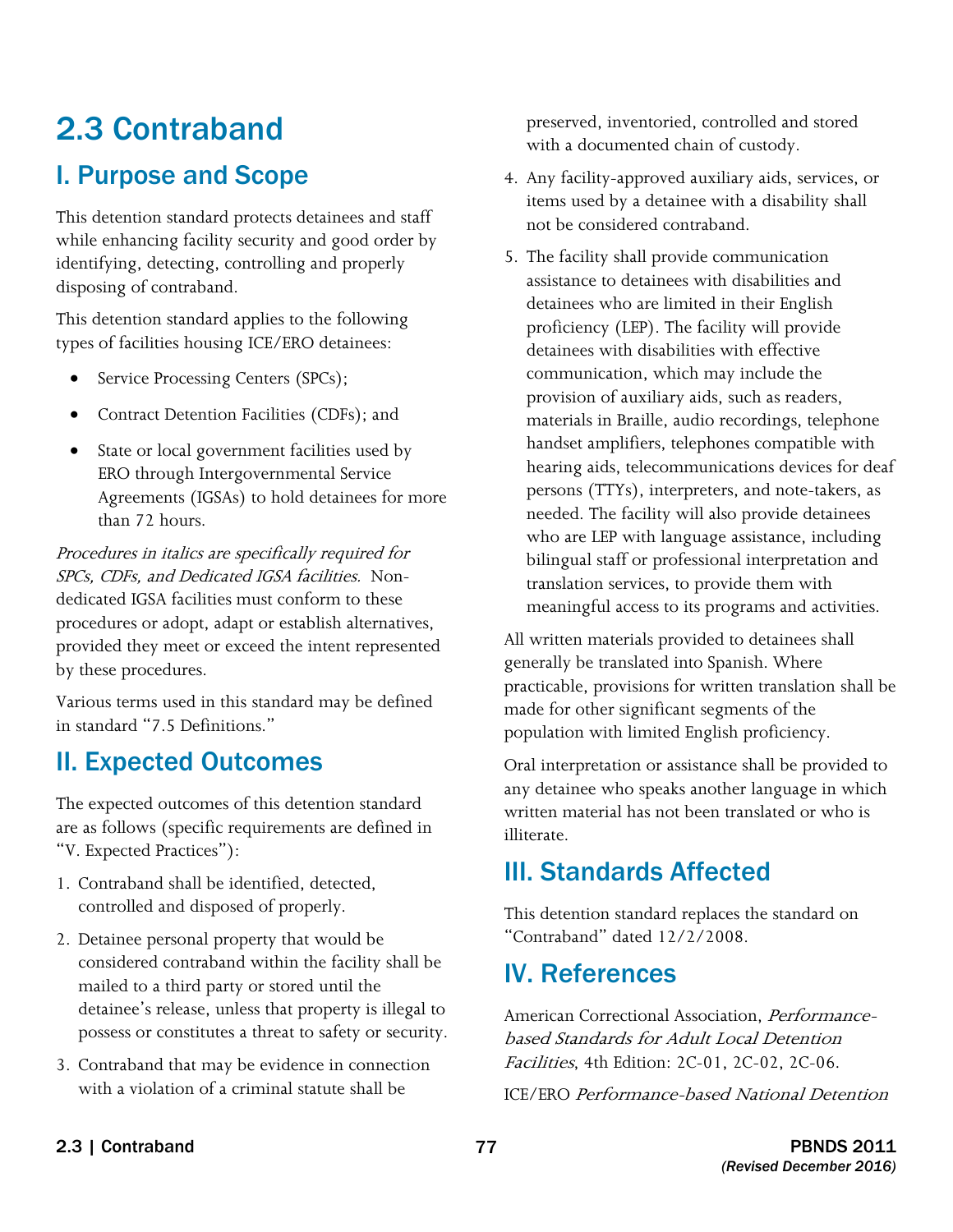# I. Purpose and Scope

This detention standard protects detainees and staff while enhancing facility security and good order by identifying, detecting, controlling and properly disposing of contraband.

This detention standard applies to the following types of facilities housing ICE/ERO detainees:

- Service Processing Centers (SPCs);
- Contract Detention Facilities (CDFs); and
- State or local government facilities used by ERO through Intergovernmental Service Agreements (IGSAs) to hold detainees for more than 72 hours.

 SPCs, CDFs, and Dedicated IGSA facilities. Non-Procedures in italics are specifically required for dedicated IGSA facilities must conform to these procedures or adopt, adapt or establish alternatives, provided they meet or exceed the intent represented by these procedures.

Various terms used in this standard may be defined in standard "7.5 Definitions."

# II. Expected Outcomes

The expected outcomes of this detention standard are as follows (specific requirements are defined in "V. Expected Practices"):

- 1. Contraband shall be identified, detected, controlled and disposed of properly.
- 2. Detainee personal property that would be considered contraband within the facility shall be mailed to a third party or stored until the detainee's release, unless that property is illegal to possess or constitutes a threat to safety or security.
- 3. Contraband that may be evidence in connection with a violation of a criminal statute shall be

**2.3 Contraband** preserved, inventoried, controlled and stored with a documented chain of custody.

- 4. Any facility-approved auxiliary aids, services, or items used by a detainee with a disability shall not be considered contraband.
- 5. The facility shall provide communication assistance to detainees with disabilities and detainees who are limited in their English proficiency (LEP). The facility will provide detainees with disabilities with effective communication, which may include the provision of auxiliary aids, such as readers, materials in Braille, audio recordings, telephone handset amplifiers, telephones compatible with hearing aids, telecommunications devices for deaf persons (TTYs), interpreters, and note-takers, as needed. The facility will also provide detainees who are LEP with language assistance, including bilingual staff or professional interpretation and translation services, to provide them with

 meaningful access to its programs and activities. All written materials provided to detainees shall generally be translated into Spanish. Where practicable, provisions for written translation shall be made for other significant segments of the population with limited English proficiency.

Oral interpretation or assistance shall be provided to any detainee who speaks another language in which written material has not been translated or who is illiterate.

# III. Standards Affected

 This detention standard replaces the standard on "Contraband" dated 12/2/2008.

# IV. References

American Correctional Association, Performancebased Standards for Adult Local Detention Facilities, 4th Edition: 2C-01, 2C-02, 2C-06.

ICE/ERO Performance-based National Detention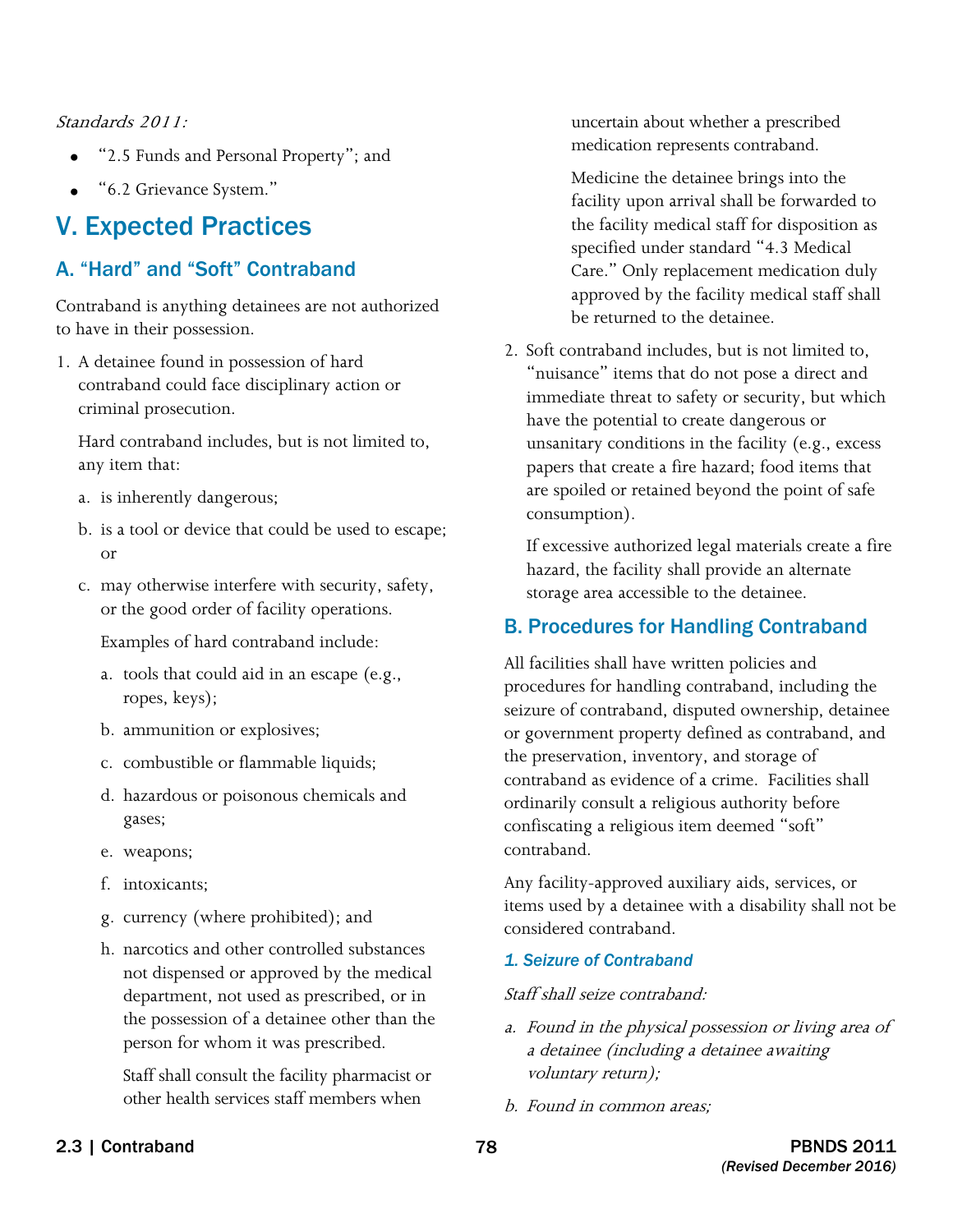### Standards 2011:

- "2.5 Funds and Personal Property"; and
- "6.2 Grievance System."

# V. Expected Practices

## A. "Hard" and "Soft" Contraband

Contraband is anything detainees are not authorized to have in their possession.

1. A detainee found in possession of hard contraband could face disciplinary action or criminal prosecution.

Hard contraband includes, but is not limited to, any item that:

- a. is inherently dangerous;
- b. is a tool or device that could be used to escape; or
- c. may otherwise interfere with security, safety, or the good order of facility operations.

Examples of hard contraband include:

- a. tools that could aid in an escape (e.g., ropes, keys);
- b. ammunition or explosives;
- c. combustible or flammable liquids;
- d. hazardous or poisonous chemicals and gases;
- e. weapons;
- f. intoxicants:
- g. currency (where prohibited); and
- person for whom it was prescribed. h. narcotics and other controlled substances not dispensed or approved by the medical department, not used as prescribed, or in the possession of a detainee other than the

 other health services staff members when Staff shall consult the facility pharmacist or uncertain about whether a prescribed medication represents contraband.

Medicine the detainee brings into the facility upon arrival shall be forwarded to the facility medical staff for disposition as specified under standard "4.3 Medical Care." Only replacement medication duly approved by the facility medical staff shall be returned to the detainee.

2. Soft contraband includes, but is not limited to, "nuisance" items that do not pose a direct and immediate threat to safety or security, but which have the potential to create dangerous or unsanitary conditions in the facility (e.g., excess papers that create a fire hazard; food items that are spoiled or retained beyond the point of safe consumption).

 If excessive authorized legal materials create a fire hazard, the facility shall provide an alternate storage area accessible to the detainee.

### B. Procedures for Handling Contraband

 contraband as evidence of a crime. Facilities shall contraband. All facilities shall have written policies and procedures for handling contraband, including the seizure of contraband, disputed ownership, detainee or government property defined as contraband, and the preservation, inventory, and storage of ordinarily consult a religious authority before confiscating a religious item deemed "soft"

Any facility-approved auxiliary aids, services, or items used by a detainee with a disability shall not be considered contraband.

#### *1. Seizure of Contraband*

#### Staff shall seize contraband:

- a. Found in the physical possession or living area of a detainee (including a detainee awaiting voluntary return);
- b. Found in common areas;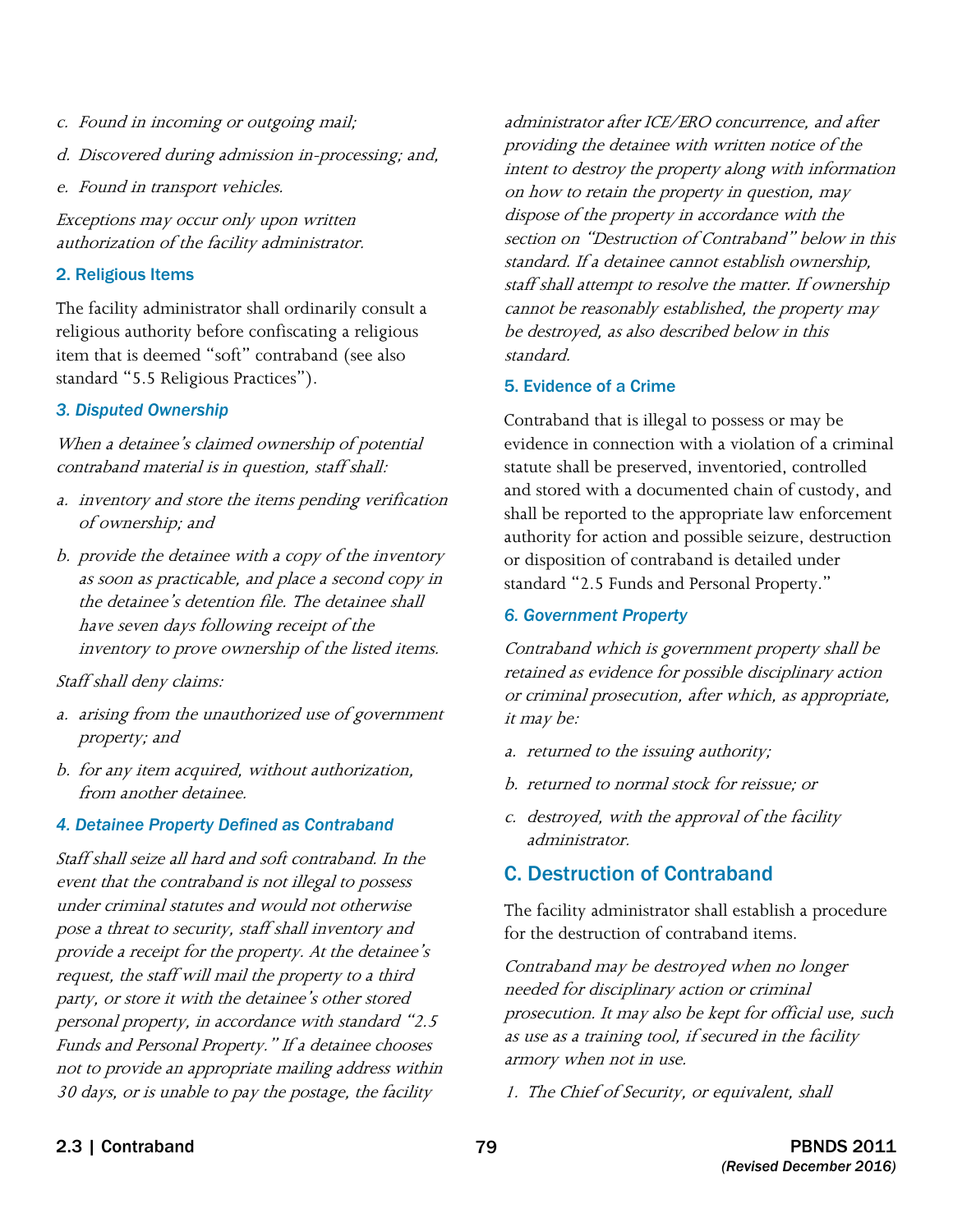- c. Found in incoming or outgoing mail;
- d. Discovered during admission in-processing; and,
- e. Found in transport vehicles.

Exceptions may occur only upon written authorization of the facility administrator.

#### 2. Religious Items

 item that is deemed "soft" contraband (see also The facility administrator shall ordinarily consult a religious authority before confiscating a religious standard "5.5 Religious Practices").

#### *3. Disputed Ownership*

When a detainee's claimed ownership of potential contraband material is in question, staff shall:

- a. inventory and store the items pending verification of ownership; and
- b. provide the detainee with a copy of the inventory as soon as practicable, and place a second copy in the detainee's detention file. The detainee shall have seven days following receipt of the inventory to prove ownership of the listed items.

Staff shall deny claims:

- a. arising from the unauthorized use of government property; and
- b. for any item acquired, without authorization, from another detainee.

### *4. Detainee Property Defined as Contraband*

 under criminal statutes and would not otherwise pose a threat to security, staff shall inventory and provide a receipt for the property. At the detainee's request, the staff will mail the property to a third party, or store it with the detainee's other stored Funds and Personal Property." If a detainee chooses not to provide an appropriate mailing address within 30 days, or is unable to pay the postage, the facility Staff shall seize all hard and soft contraband. In the event that the contraband is not illegal to possess personal property, in accordance with standard "2.5

 cannot be reasonably established, the property may administrator after ICE/ERO concurrence, and after providing the detainee with written notice of the intent to destroy the property along with information on how to retain the property in question, may dispose of the property in accordance with the section on "Destruction of Contraband" below in this standard. If a detainee cannot establish ownership, staff shall attempt to resolve the matter. If ownership be destroyed, as also described below in this standard.

#### 5. Evidence of a Crime

 standard "2.5 Funds and Personal Property." Contraband that is illegal to possess or may be evidence in connection with a violation of a criminal statute shall be preserved, inventoried, controlled and stored with a documented chain of custody, and shall be reported to the appropriate law enforcement authority for action and possible seizure, destruction or disposition of contraband is detailed under

#### *6. Government Property*

Contraband which is government property shall be retained as evidence for possible disciplinary action or criminal prosecution, after which, as appropriate, it may be:

- a. returned to the issuing authority;
- b. returned to normal stock for reissue; or
- c. destroyed, with the approval of the facility administrator.

### C. Destruction of Contraband

The facility administrator shall establish a procedure for the destruction of contraband items.

Contraband may be destroyed when no longer needed for disciplinary action or criminal prosecution. It may also be kept for official use, such as use as a training tool, if secured in the facility armory when not in use.

1. The Chief of Security, or equivalent, shall